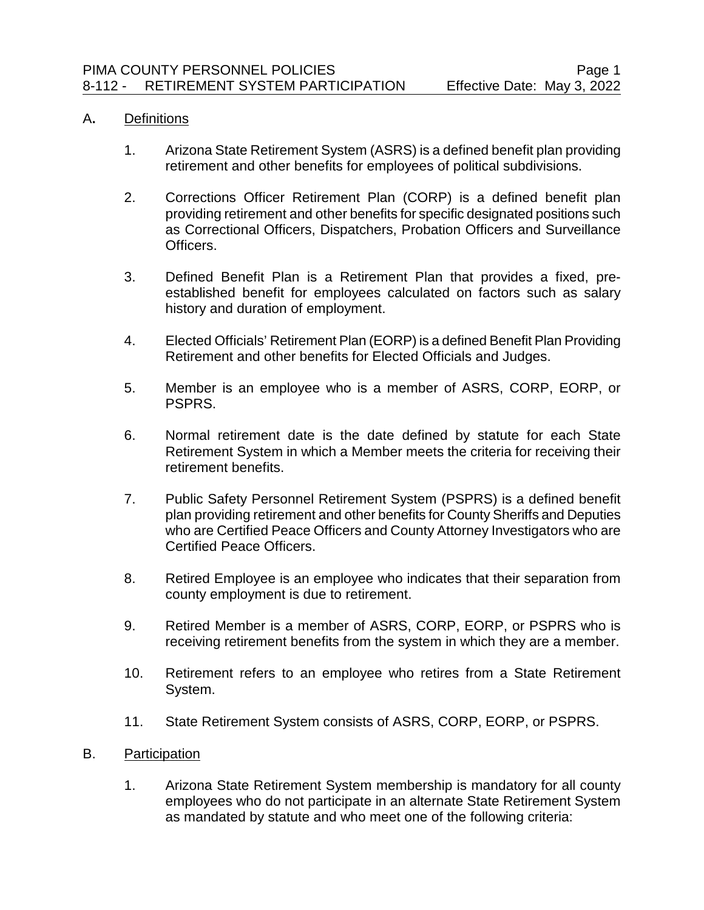## A**.** Definitions

- 1. Arizona State Retirement System (ASRS) is a defined benefit plan providing retirement and other benefits for employees of political subdivisions.
- 2. Corrections Officer Retirement Plan (CORP) is a defined benefit plan providing retirement and other benefits for specific designated positions such as Correctional Officers, Dispatchers, Probation Officers and Surveillance Officers.
- 3. Defined Benefit Plan is a Retirement Plan that provides a fixed, preestablished benefit for employees calculated on factors such as salary history and duration of employment.
- 4. Elected Officials' Retirement Plan (EORP) is a defined Benefit Plan Providing Retirement and other benefits for Elected Officials and Judges.
- 5. Member is an employee who is a member of ASRS, CORP, EORP, or PSPRS.
- 6. Normal retirement date is the date defined by statute for each State Retirement System in which a Member meets the criteria for receiving their retirement benefits.
- 7. Public Safety Personnel Retirement System (PSPRS) is a defined benefit plan providing retirement and other benefits for County Sheriffs and Deputies who are Certified Peace Officers and County Attorney Investigators who are Certified Peace Officers.
- 8. Retired Employee is an employee who indicates that their separation from county employment is due to retirement.
- 9. Retired Member is a member of ASRS, CORP, EORP, or PSPRS who is receiving retirement benefits from the system in which they are a member.
- 10. Retirement refers to an employee who retires from a State Retirement System.
- 11. State Retirement System consists of ASRS, CORP, EORP, or PSPRS.
- B. Participation
	- 1. Arizona State Retirement System membership is mandatory for all county employees who do not participate in an alternate State Retirement System as mandated by statute and who meet one of the following criteria: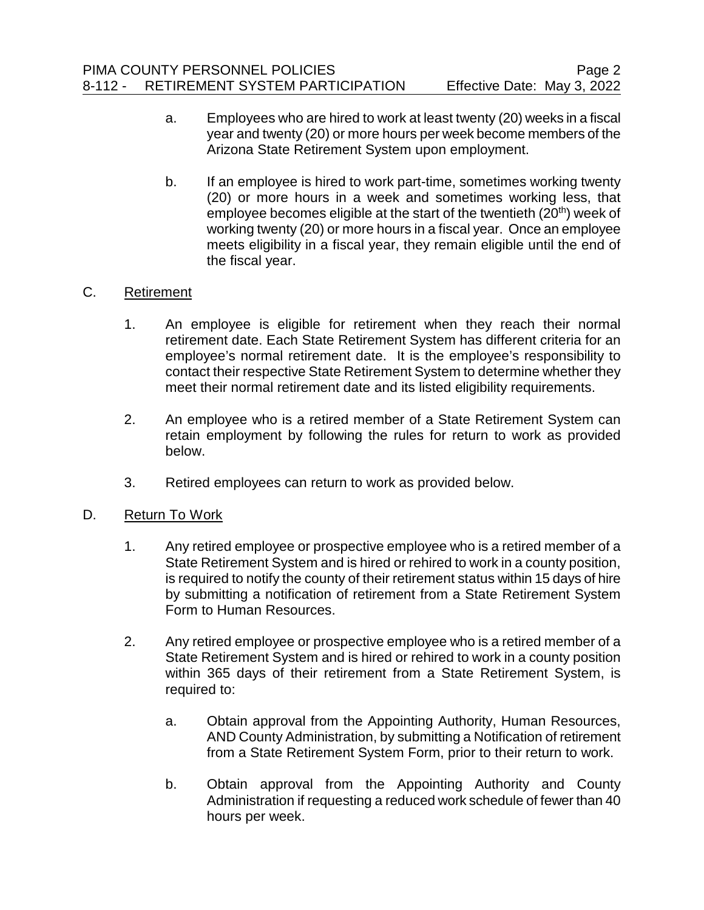- a. Employees who are hired to work at least twenty (20) weeks in a fiscal year and twenty (20) or more hours per week become members of the Arizona State Retirement System upon employment.
- b. If an employee is hired to work part-time, sometimes working twenty (20) or more hours in a week and sometimes working less, that employee becomes eligible at the start of the twentieth (20<sup>th</sup>) week of working twenty (20) or more hours in a fiscal year. Once an employee meets eligibility in a fiscal year, they remain eligible until the end of the fiscal year.

## C. Retirement

- 1. An employee is eligible for retirement when they reach their normal retirement date. Each State Retirement System has different criteria for an employee's normal retirement date. It is the employee's responsibility to contact their respective State Retirement System to determine whether they meet their normal retirement date and its listed eligibility requirements.
- 2. An employee who is a retired member of a State Retirement System can retain employment by following the rules for return to work as provided below.
- 3. Retired employees can return to work as provided below.

## D. Return To Work

- 1. Any retired employee or prospective employee who is a retired member of a State Retirement System and is hired or rehired to work in a county position, is required to notify the county of their retirement status within 15 days of hire by submitting a notification of retirement from a State Retirement System Form to Human Resources.
- 2. Any retired employee or prospective employee who is a retired member of a State Retirement System and is hired or rehired to work in a county position within 365 days of their retirement from a State Retirement System, is required to:
	- a. Obtain approval from the Appointing Authority, Human Resources, AND County Administration, by submitting a Notification of retirement from a State Retirement System Form, prior to their return to work.
	- b. Obtain approval from the Appointing Authority and County Administration if requesting a reduced work schedule of fewer than 40 hours per week.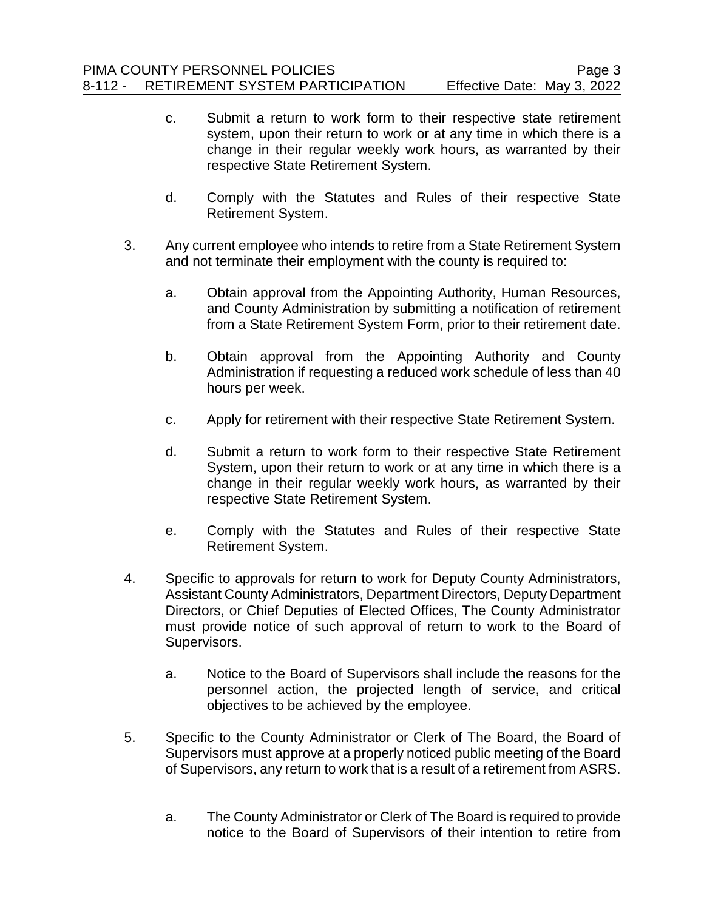- c. Submit a return to work form to their respective state retirement system, upon their return to work or at any time in which there is a change in their regular weekly work hours, as warranted by their respective State Retirement System.
- d. Comply with the Statutes and Rules of their respective State Retirement System.
- 3. Any current employee who intends to retire from a State Retirement System and not terminate their employment with the county is required to:
	- a. Obtain approval from the Appointing Authority, Human Resources, and County Administration by submitting a notification of retirement from a State Retirement System Form, prior to their retirement date.
	- b. Obtain approval from the Appointing Authority and County Administration if requesting a reduced work schedule of less than 40 hours per week.
	- c. Apply for retirement with their respective State Retirement System.
	- d. Submit a return to work form to their respective State Retirement System, upon their return to work or at any time in which there is a change in their regular weekly work hours, as warranted by their respective State Retirement System.
	- e. Comply with the Statutes and Rules of their respective State Retirement System.
- 4. Specific to approvals for return to work for Deputy County Administrators, Assistant County Administrators, Department Directors, Deputy Department Directors, or Chief Deputies of Elected Offices, The County Administrator must provide notice of such approval of return to work to the Board of Supervisors.
	- a. Notice to the Board of Supervisors shall include the reasons for the personnel action, the projected length of service, and critical objectives to be achieved by the employee.
- 5. Specific to the County Administrator or Clerk of The Board, the Board of Supervisors must approve at a properly noticed public meeting of the Board of Supervisors, any return to work that is a result of a retirement from ASRS.
	- a. The County Administrator or Clerk of The Board is required to provide notice to the Board of Supervisors of their intention to retire from